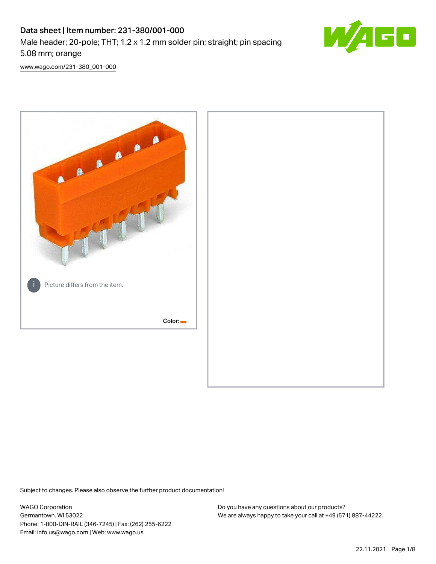## Data sheet | Item number: 231-380/001-000 Male header; 20-pole; THT; 1.2 x 1.2 mm solder pin; straight; pin spacing 5.08 mm; orange



[www.wago.com/231-380\\_001-000](http://www.wago.com/231-380_001-000)



Subject to changes. Please also observe the further product documentation!

WAGO Corporation Germantown, WI 53022 Phone: 1-800-DIN-RAIL (346-7245) | Fax: (262) 255-6222 Email: info.us@wago.com | Web: www.wago.us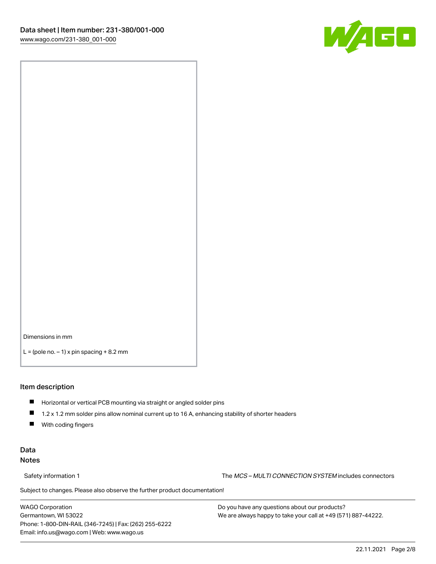

Dimensions in mm

 $L =$  (pole no.  $-1$ ) x pin spacing  $+8.2$  mm

#### Item description

- **Horizontal or vertical PCB mounting via straight or angled solder pins**
- 1.2 x 1.2 mm solder pins allow nominal current up to 16 A, enhancing stability of shorter headers
- $\blacksquare$ With coding fingers

### Data Notes

Safety information 1 The MCS – MULTI CONNECTION SYSTEM includes connectors

Subject to changes. Please also observe the further product documentation!  $\nu$ 

WAGO Corporation Germantown, WI 53022 Phone: 1-800-DIN-RAIL (346-7245) | Fax: (262) 255-6222 Email: info.us@wago.com | Web: www.wago.us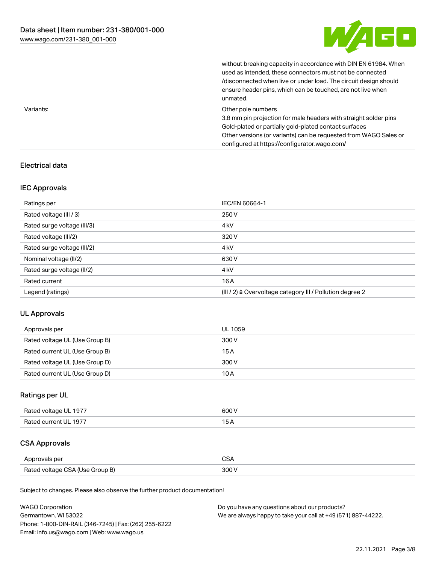

without breaking capacity in accordance with DIN EN 61984. When

|           | used as intended, these connectors must not be connected<br>/disconnected when live or under load. The circuit design should<br>ensure header pins, which can be touched, are not live when<br>unmated.                                                             |
|-----------|---------------------------------------------------------------------------------------------------------------------------------------------------------------------------------------------------------------------------------------------------------------------|
| Variants: | Other pole numbers<br>3.8 mm pin projection for male headers with straight solder pins<br>Gold-plated or partially gold-plated contact surfaces<br>Other versions (or variants) can be requested from WAGO Sales or<br>configured at https://configurator.wago.com/ |

## Electrical data

### IEC Approvals

| Ratings per                 | IEC/EN 60664-1                                                        |
|-----------------------------|-----------------------------------------------------------------------|
| Rated voltage (III / 3)     | 250 V                                                                 |
| Rated surge voltage (III/3) | 4 <sub>kV</sub>                                                       |
| Rated voltage (III/2)       | 320 V                                                                 |
| Rated surge voltage (III/2) | 4 <sub>k</sub> V                                                      |
| Nominal voltage (II/2)      | 630 V                                                                 |
| Rated surge voltage (II/2)  | 4 <sub>k</sub> V                                                      |
| Rated current               | 16A                                                                   |
| Legend (ratings)            | $(III / 2)$ $\triangle$ Overvoltage category III / Pollution degree 2 |

### UL Approvals

| Approvals per                  | UL 1059 |
|--------------------------------|---------|
| Rated voltage UL (Use Group B) | 300 V   |
| Rated current UL (Use Group B) | 15 A    |
| Rated voltage UL (Use Group D) | 300 V   |
| Rated current UL (Use Group D) | 10 A    |

## Ratings per UL

| Rated voltage UL 1977 | 600 V |
|-----------------------|-------|
| Rated current UL 1977 |       |

## CSA Approvals

| Approvals per                   | ~~    |
|---------------------------------|-------|
| Rated voltage CSA (Use Group B) | 3UU 1 |

Subject to changes. Please also observe the further product documentation!

| <b>WAGO Corporation</b>                                | Do you have any questions about our products?                 |
|--------------------------------------------------------|---------------------------------------------------------------|
| Germantown, WI 53022                                   | We are always happy to take your call at +49 (571) 887-44222. |
| Phone: 1-800-DIN-RAIL (346-7245)   Fax: (262) 255-6222 |                                                               |
| Email: info.us@wago.com   Web: www.wago.us             |                                                               |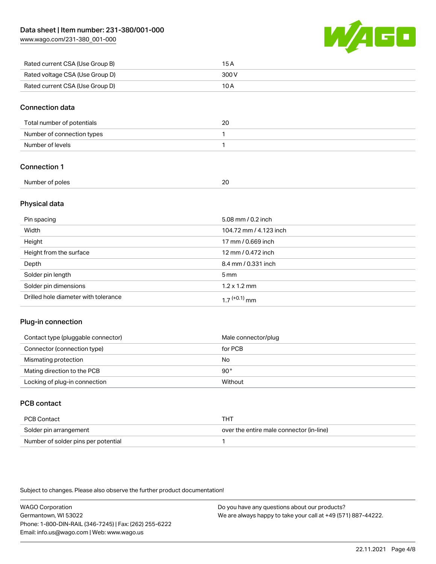[www.wago.com/231-380\\_001-000](http://www.wago.com/231-380_001-000)



| Rated current CSA (Use Group B) | 15 A  |
|---------------------------------|-------|
| Rated voltage CSA (Use Group D) | 300 V |
| Rated current CSA (Use Group D) | 10 A  |

#### Connection data

| Total number of potentials | 20 |
|----------------------------|----|
| Number of connection types |    |
| Number of levels           |    |

## Connection 1

| Number     |        |
|------------|--------|
| r of poles | $\sim$ |
|            | _      |
| .          |        |
|            |        |

### Physical data

| Pin spacing                          | 5.08 mm / 0.2 inch     |
|--------------------------------------|------------------------|
| Width                                | 104.72 mm / 4.123 inch |
| Height                               | 17 mm / 0.669 inch     |
| Height from the surface              | 12 mm / 0.472 inch     |
| Depth                                | 8.4 mm / 0.331 inch    |
| Solder pin length                    | $5 \text{ mm}$         |
| Solder pin dimensions                | $1.2 \times 1.2$ mm    |
| Drilled hole diameter with tolerance | $17^{(+0.1)}$ mm       |

### Plug-in connection

| Contact type (pluggable connector) | Male connector/plug |
|------------------------------------|---------------------|
| Connector (connection type)        | for PCB             |
| Mismating protection               | No                  |
| Mating direction to the PCB        | 90°                 |
| Locking of plug-in connection      | Without             |

## PCB contact

| PCB Contact                         | THT                                      |
|-------------------------------------|------------------------------------------|
| Solder pin arrangement              | over the entire male connector (in-line) |
| Number of solder pins per potential |                                          |

Subject to changes. Please also observe the further product documentation!

WAGO Corporation Germantown, WI 53022 Phone: 1-800-DIN-RAIL (346-7245) | Fax: (262) 255-6222 Email: info.us@wago.com | Web: www.wago.us Do you have any questions about our products? We are always happy to take your call at +49 (571) 887-44222.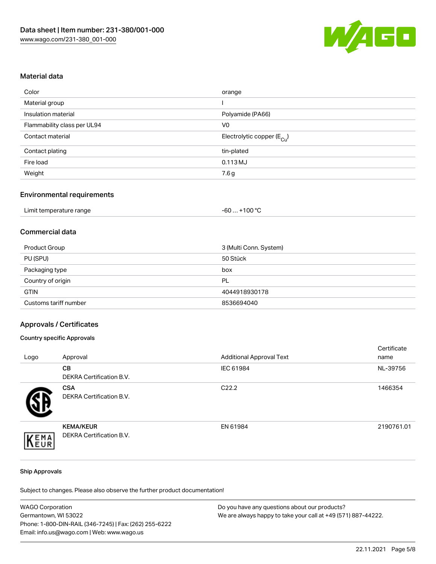

#### Material data

| Color                       | orange                                 |
|-----------------------------|----------------------------------------|
| Material group              |                                        |
| Insulation material         | Polyamide (PA66)                       |
| Flammability class per UL94 | V <sub>0</sub>                         |
| Contact material            | Electrolytic copper (E <sub>Cu</sub> ) |
| Contact plating             | tin-plated                             |
| Fire load                   | 0.113 MJ                               |
| Weight                      | 7.6 g                                  |

### Environmental requirements

| Limit temperature range | . +100 °C<br>-60 |
|-------------------------|------------------|
|-------------------------|------------------|

## Commercial data

| Product Group         | 3 (Multi Conn. System) |
|-----------------------|------------------------|
| PU (SPU)              | 50 Stück               |
| Packaging type        | box                    |
| Country of origin     | PL                     |
| <b>GTIN</b>           | 4044918930178          |
| Customs tariff number | 8536694040             |

#### Approvals / Certificates

#### Country specific Approvals

| Logo | Approval                                            | <b>Additional Approval Text</b> | Certificate<br>name |
|------|-----------------------------------------------------|---------------------------------|---------------------|
|      | <b>CB</b><br>DEKRA Certification B.V.               | IEC 61984                       | NL-39756            |
|      | <b>CSA</b><br>DEKRA Certification B.V.              | C <sub>22.2</sub>               | 1466354             |
| EMA  | <b>KEMA/KEUR</b><br><b>DEKRA Certification B.V.</b> | EN 61984                        | 2190761.01          |

#### Ship Approvals

Subject to changes. Please also observe the further product documentation!

| <b>WAGO Corporation</b>                                | Do you have any questions about our products?                 |  |
|--------------------------------------------------------|---------------------------------------------------------------|--|
| Germantown, WI 53022                                   | We are always happy to take your call at +49 (571) 887-44222. |  |
| Phone: 1-800-DIN-RAIL (346-7245)   Fax: (262) 255-6222 |                                                               |  |
| Email: info.us@wago.com   Web: www.wago.us             |                                                               |  |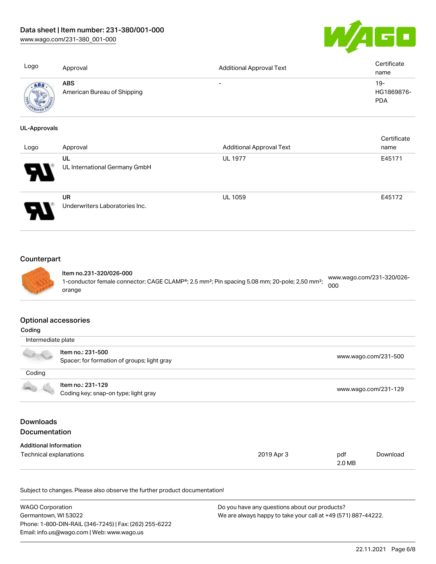[www.wago.com/231-380\\_001-000](http://www.wago.com/231-380_001-000)



| Logo                | Approval                                  | <b>Additional Approval Text</b> | Certificate<br>name                |
|---------------------|-------------------------------------------|---------------------------------|------------------------------------|
| ABS                 | <b>ABS</b><br>American Bureau of Shipping |                                 | $19 -$<br>HG1869876-<br><b>PDA</b> |
| <b>UL-Approvals</b> |                                           |                                 |                                    |
|                     |                                           |                                 | Certificate                        |
| Logo                | Approval                                  | <b>Additional Approval Text</b> | name                               |
|                     | UL                                        | <b>UL 1977</b>                  | E45171                             |
|                     | UL International Germany GmbH             |                                 |                                    |
|                     | <b>UR</b>                                 | <b>UL 1059</b>                  | E45172                             |



Underwriters Laboratories Inc.

## **Counterpart**



Item no.231-320/026-000 1-conductor female connector; CAGE CLAMP®; 2.5 mm²; Pin spacing 5.08 mm; 20-pole; 2,50 mm²; orange [www.wago.com/231-320/026-](https://www.wago.com/231-320/026-000) [000](https://www.wago.com/231-320/026-000)

#### Optional accessories

| Coding                        |                                             |                      |        |                      |  |
|-------------------------------|---------------------------------------------|----------------------|--------|----------------------|--|
|                               | Intermediate plate                          |                      |        |                      |  |
|                               | Item no.: 231-500                           |                      |        | www.wago.com/231-500 |  |
|                               | Spacer; for formation of groups; light gray |                      |        |                      |  |
| Coding                        |                                             |                      |        |                      |  |
|                               | Item no.: 231-129                           |                      |        |                      |  |
|                               | Coding key; snap-on type; light gray        | www.wago.com/231-129 |        |                      |  |
| <b>Downloads</b>              |                                             |                      |        |                      |  |
| <b>Documentation</b>          |                                             |                      |        |                      |  |
| <b>Additional Information</b> |                                             |                      |        |                      |  |
| Technical explanations        |                                             | 2019 Apr 3           | pdf    | Download             |  |
|                               |                                             |                      | 2.0 MB |                      |  |

Subject to changes. Please also observe the further product documentation!

| <b>WAGO Corporation</b>                                | Do you have any questions about our products?                 |  |
|--------------------------------------------------------|---------------------------------------------------------------|--|
| Germantown, WI 53022                                   | We are always happy to take your call at +49 (571) 887-44222. |  |
| Phone: 1-800-DIN-RAIL (346-7245)   Fax: (262) 255-6222 |                                                               |  |
| Email: info.us@wago.com   Web: www.wago.us             |                                                               |  |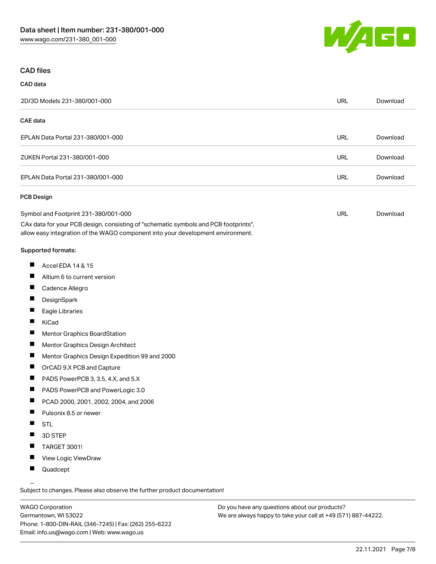

#### CAD files

# CAD data 2D/3D Models 231-380/001-000 URL [Download](https://www.wago.com/global/d/3D_URLS_231-380_001-000) CAE data EPLAN Data Portal 231-380/001-000 URL [Download](https://www.wago.com/global/d/EPLAN_URLS_231-380%252F001-000) ZUKEN Portal 231-380/001-000 URL [Download](https://www.wago.com/global/d/Zuken_URLS_231-380_001-000) EPLAN Data Portal 231-380/001-000 URL [Download](https://www.wago.com/global/d/EPLAN_URLS_231-380_001-000) PCB Design Symbol and Footprint 231-380/001-000 URL [Download](https://www.wago.com/global/d/UltraLibrarian_URLS_231-380_001-000)

CAx data for your PCB design, consisting of "schematic symbols and PCB footprints", allow easy integration of the WAGO component into your development environment.

#### Supported formats:

- $\blacksquare$ Accel EDA 14 & 15
- П Altium 6 to current version
- П Cadence Allegro
- П **DesignSpark**
- П Eagle Libraries
- $\blacksquare$ KiCad
- П Mentor Graphics BoardStation
- $\blacksquare$ Mentor Graphics Design Architect
- П Mentor Graphics Design Expedition 99 and 2000
- П OrCAD 9.X PCB and Capture
- $\blacksquare$ PADS PowerPCB 3, 3.5, 4.X, and 5.X
- $\blacksquare$ PADS PowerPCB and PowerLogic 3.0
- $\blacksquare$ PCAD 2000, 2001, 2002, 2004, and 2006
- $\blacksquare$ Pulsonix 8.5 or newer
- $\blacksquare$ STL
- $\blacksquare$ 3D STEP
- $\blacksquare$ TARGET 3001!
- $\blacksquare$ View Logic ViewDraw
- $\blacksquare$ Quadcept

.<br>Subject to changes. Please also observe the further product documentation!

WAGO Corporation Germantown, WI 53022 Phone: 1-800-DIN-RAIL (346-7245) | Fax: (262) 255-6222 Email: info.us@wago.com | Web: www.wago.us